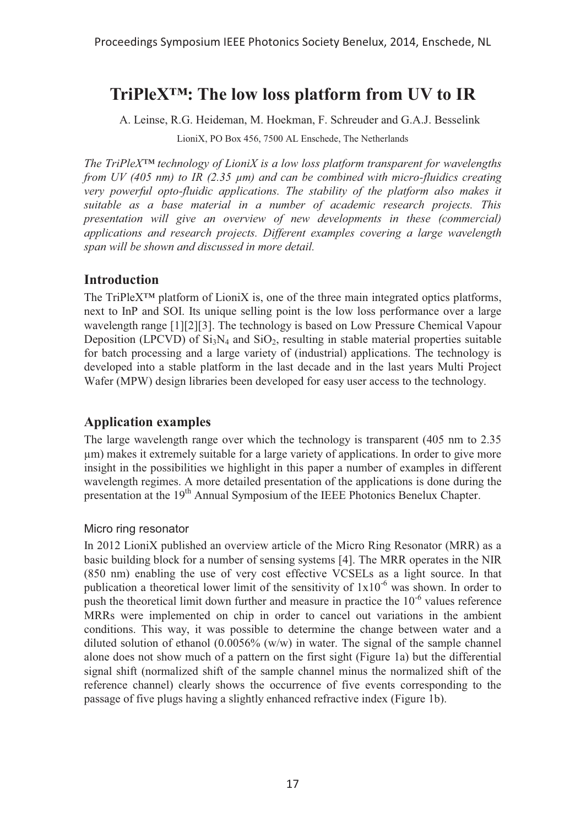# **TriPleX™: The low loss platform from UV to IR**

A. Leinse, R.G. Heideman, M. Hoekman, F. Schreuder and G.A.J. Besselink LioniX, PO Box 456, 7500 AL Enschede, The Netherlands

*The TriPleX™ technology of LioniX is a low loss platform transparent for wavelengths from UV (405 nm) to IR (2.35 μm) and can be combined with micro-fluidics creating very powerful opto-fluidic applications. The stability of the platform also makes it suitable as a base material in a number of academic research projects. This presentation will give an overview of new developments in these (commercial) applications and research projects. Different examples covering a large wavelength span will be shown and discussed in more detail.* 

## **Introduction**

The TriPleX™ platform of LioniX is, one of the three main integrated optics platforms, next to InP and SOI. Its unique selling point is the low loss performance over a large wavelength range [1][2][3]. The technology is based on Low Pressure Chemical Vapour Deposition (LPCVD) of  $Si_3N_4$  and  $SiO_2$ , resulting in stable material properties suitable for batch processing and a large variety of (industrial) applications. The technology is developed into a stable platform in the last decade and in the last years Multi Project Wafer (MPW) design libraries been developed for easy user access to the technology.

## **Application examples**

The large wavelength range over which the technology is transparent (405 nm to 2.35 μm) makes it extremely suitable for a large variety of applications. In order to give more insight in the possibilities we highlight in this paper a number of examples in different wavelength regimes. A more detailed presentation of the applications is done during the presentation at the 19<sup>th</sup> Annual Symposium of the IEEE Photonics Benelux Chapter.

## Micro ring resonator

In 2012 LioniX published an overview article of the Micro Ring Resonator (MRR) as a basic building block for a number of sensing systems [4]. The MRR operates in the NIR (850 nm) enabling the use of very cost effective VCSELs as a light source. In that publication a theoretical lower limit of the sensitivity of  $1x10^{-6}$  was shown. In order to push the theoretical limit down further and measure in practice the  $10^{-6}$  values reference MRRs were implemented on chip in order to cancel out variations in the ambient conditions. This way, it was possible to determine the change between water and a diluted solution of ethanol (0.0056% (w/w) in water. The signal of the sample channel alone does not show much of a pattern on the first sight (Figure 1a) but the differential signal shift (normalized shift of the sample channel minus the normalized shift of the reference channel) clearly shows the occurrence of five events corresponding to the passage of five plugs having a slightly enhanced refractive index (Figure 1b).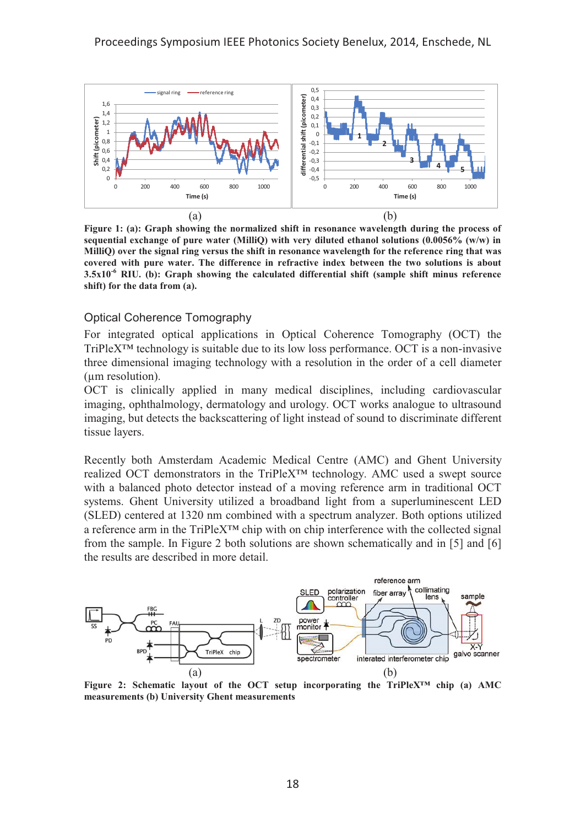

**Figure 1: (a): Graph showing the normalized shift in resonance wavelength during the process of sequential exchange of pure water (MilliQ) with very diluted ethanol solutions (0.0056% (w/w) in MilliQ) over the signal ring versus the shift in resonance wavelength for the reference ring that was covered with pure water. The difference in refractive index between the two solutions is about 3.5x10-6 RIU. (b): Graph showing the calculated differential shift (sample shift minus reference shift) for the data from (a).** 

#### Optical Coherence Tomography

For integrated optical applications in Optical Coherence Tomography (OCT) the TriPleX™ technology is suitable due to its low loss performance. OCT is a non-invasive three dimensional imaging technology with a resolution in the order of a cell diameter (μm resolution).

OCT is clinically applied in many medical disciplines, including cardiovascular imaging, ophthalmology, dermatology and urology. OCT works analogue to ultrasound imaging, but detects the backscattering of light instead of sound to discriminate different tissue layers.

Recently both Amsterdam Academic Medical Centre (AMC) and Ghent University realized OCT demonstrators in the TriPleX™ technology. AMC used a swept source with a balanced photo detector instead of a moving reference arm in traditional OCT systems. Ghent University utilized a broadband light from a superluminescent LED (SLED) centered at 1320 nm combined with a spectrum analyzer. Both options utilized a reference arm in the TriPleX™ chip with on chip interference with the collected signal from the sample. In Figure 2 both solutions are shown schematically and in [5] and [6] the results are described in more detail.



**Figure 2: Schematic layout of the OCT setup incorporating the TriPleX™ chip (a) AMC measurements (b) University Ghent measurements**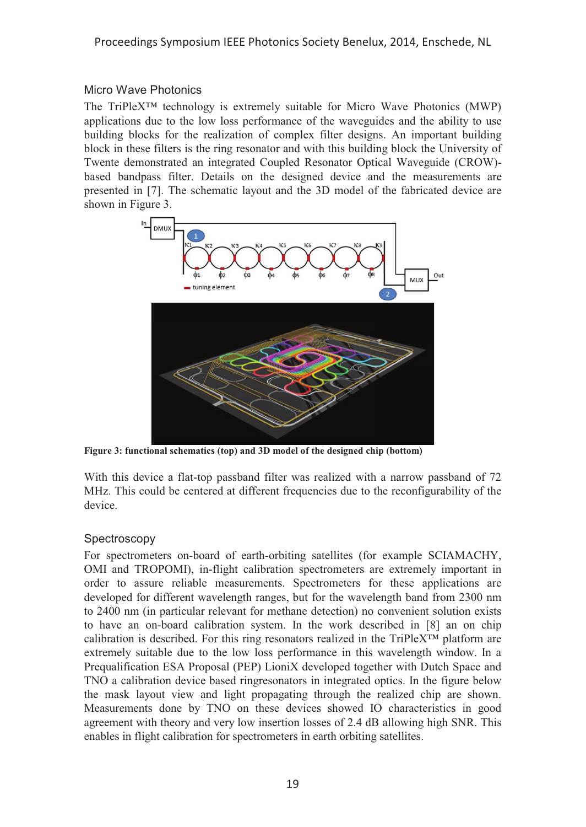## Micro Wave Photonics

The TriPleX™ technology is extremely suitable for Micro Wave Photonics (MWP) applications due to the low loss performance of the waveguides and the ability to use building blocks for the realization of complex filter designs. An important building block in these filters is the ring resonator and with this building block the University of Twente demonstrated an integrated Coupled Resonator Optical Waveguide (CROW) based bandpass filter. Details on the designed device and the measurements are presented in [7]. The schematic layout and the 3D model of the fabricated device are shown in Figure 3.



**Figure 3: functional schematics (top) and 3D model of the designed chip (bottom)** 

With this device a flat-top passband filter was realized with a narrow passband of 72 MHz. This could be centered at different frequencies due to the reconfigurability of the device.

## Spectroscopy

For spectrometers on-board of earth-orbiting satellites (for example SCIAMACHY, OMI and TROPOMI), in-flight calibration spectrometers are extremely important in order to assure reliable measurements. Spectrometers for these applications are developed for different wavelength ranges, but for the wavelength band from 2300 nm to 2400 nm (in particular relevant for methane detection) no convenient solution exists to have an on-board calibration system. In the work described in [8] an on chip calibration is described. For this ring resonators realized in the TriPleX™ platform are extremely suitable due to the low loss performance in this wavelength window. In a Prequalification ESA Proposal (PEP) LioniX developed together with Dutch Space and TNO a calibration device based ringresonators in integrated optics. In the figure below the mask layout view and light propagating through the realized chip are shown. Measurements done by TNO on these devices showed IO characteristics in good agreement with theory and very low insertion losses of 2.4 dB allowing high SNR. This enables in flight calibration for spectrometers in earth orbiting satellites.